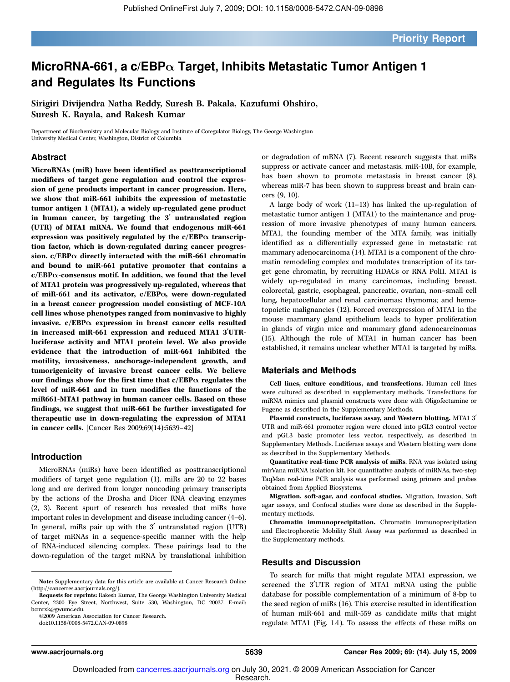### MicroRNA-661, a c/EBP $\alpha$  Target, Inhibits Metastatic Tumor Antigen 1 and Regulates Its Functions

Sirigiri Divijendra Natha Reddy, Suresh B. Pakala, Kazufumi Ohshiro, Suresh K. Rayala, and Rakesh Kumar

Department of Biochemistry and Molecular Biology and Institute of Coregulator Biology, The George Washington University Medical Center, Washington, District of Columbia

#### Abstract

MicroRNAs (miR) have been identified as posttranscriptional modifiers of target gene regulation and control the expression of gene products important in cancer progression. Here, we show that miR-661 inhibits the expression of metastatic tumor antigen 1 (MTA1), a widely up-regulated gene product in human cancer, by targeting the  $3'$  untranslated region (UTR) of MTA1 mRNA. We found that endogenous miR-661 expression was positively regulated by the  $c/EBP\alpha$  transcription factor, which is down-regulated during cancer progression.  $c/EBP\alpha$  directly interacted with the miR-661 chromatin and bound to miR-661 putative promoter that contains a  $c/EBP\alpha$ -consensus motif. In addition, we found that the level of MTA1 protein was progressively up-regulated, whereas that of miR-661 and its activator,  $c/EBP\alpha$ , were down-regulated in a breast cancer progression model consisting of MCF-10A cell lines whose phenotypes ranged from noninvasive to highly invasive.  $c/EBP\alpha$  expression in breast cancer cells resulted in increased miR-661 expression and reduced MTA1 3'UTRluciferase activity and MTA1 protein level. We also provide evidence that the introduction of miR-661 inhibited the motility, invasiveness, anchorage-independent growth, and tumorigenicity of invasive breast cancer cells. We believe our findings show for the first time that  $c/EBP\alpha$  regulates the level of miR-661 and in turn modifies the functions of the miR661-MTA1 pathway in human cancer cells. Based on these findings, we suggest that miR-661 be further investigated for therapeutic use in down-regulating the expression of MTA1 in cancer cells. [Cancer Res 2009;69(14):5639–42]

#### Introduction

MicroRNAs (miRs) have been identified as posttranscriptional modifiers of target gene regulation (1). miRs are 20 to 22 bases long and are derived from longer noncoding primary transcripts by the actions of the Drosha and Dicer RNA cleaving enzymes (2, 3). Recent spurt of research has revealed that miRs have important roles in development and disease including cancer (4–6). In general, miRs pair up with the  $3'$  untranslated region (UTR) of target mRNAs in a sequence-specific manner with the help of RNA-induced silencing complex. These pairings lead to the down-regulation of the target mRNA by translational inhibition

©2009 American Association for Cancer Research. doi:10.1158/0008-5472.CAN-09-0898

or degradation of mRNA (7). Recent research suggests that miRs suppress or activate cancer and metastasis. miR-10B, for example, has been shown to promote metastasis in breast cancer (8), whereas miR-7 has been shown to suppress breast and brain cancers (9, 10).

A large body of work (11–13) has linked the up-regulation of metastatic tumor antigen 1 (MTA1) to the maintenance and progression of more invasive phenotypes of many human cancers. MTA1, the founding member of the MTA family, was initially identified as a differentially expressed gene in metastatic rat mammary adenocarcinoma (14). MTA1 is a component of the chromatin remodeling complex and modulates transcription of its target gene chromatin, by recruiting HDACs or RNA PolII. MTA1 is widely up-regulated in many carcinomas, including breast, colorectal, gastric, esophageal, pancreatic, ovarian, non–small cell lung, hepatocellular and renal carcinomas; thymoma; and hematopoietic malignancies (12). Forced overexpression of MTA1 in the mouse mammary gland epithelium leads to hyper proliferation in glands of virgin mice and mammary gland adenocarcinomas (15). Although the role of MTA1 in human cancer has been established, it remains unclear whether MTA1 is targeted by miRs.

#### Materials and Methods

Cell lines, culture conditions, and transfections. Human cell lines were cultured as described in supplementary methods. Transfections for miRNA mimics and plasmid constructs were done with Oligofectamine or Fugene as described in the Supplementary Methods.

Plasmid constructs, luciferase assay, and Western blotting. MTA1 3' UTR and miR-661 promoter region were cloned into pGL3 control vector and pGL3 basic promoter less vector, respectively, as described in Supplementary Methods. Luciferase assays and Western blotting were done as described in the Supplementary Methods.

Quantitative real-time PCR analysis of miRs. RNA was isolated using mirVana miRNA isolation kit. For quantitative analysis of miRNAs, two-step TaqMan real-time PCR analysis was performed using primers and probes obtained from Applied Biosystems.

Migration, soft-agar, and confocal studies. Migration, Invasion, Soft agar assays, and Confocal studies were done as described in the Supplementary methods.

Chromatin immunoprecipitation. Chromatin immunoprecipitation and Electrophoretic Mobility Shift Assay was performed as described in the Supplementary methods.

#### Results and Discussion

To search for miRs that might regulate MTA1 expression, we screened the 3'UTR region of MTA1 mRNA using the public database for possible complementation of a minimum of 8-bp to the seed region of miRs (16). This exercise resulted in identification of human miR-661 and miR-559 as candidate miRs that might regulate MTA1 (Fig. 1A). To assess the effects of these miRs on

Note: Supplementary data for this article are available at Cancer Research Online (http://cancerres.aacrjournals.org/).

Requests for reprints: Rakesh Kumar, The George Washington University Medical Center, 2300 Eye Street, Northwest, Suite 530, Washington, DC 20037. E-mail: bcmrxk@gwumc.edu.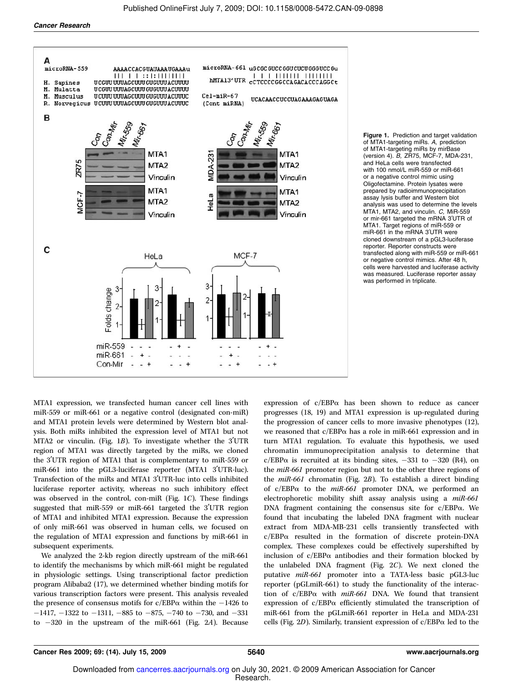

Figure 1. Prediction and target validation of MTA1-targeting miRs. A, prediction of MTA1-targeting miRs by mirBase (version 4). B, ZR75, MCF-7, MDA-231, and HeLa cells were transfected with 100 nmol/L miR-559 or miR-661 or a negative control mimic using Oligofectamine. Protein lysates were prepared by radioimmunoprecipitation assay lysis buffer and Western blot analysis was used to determine the levels MTA1, MTA2, and vinculin. C, MiR-559 or mir-661 targeted the mRNA 3'UTR of MTA1. Target regions of miR-559 or miR-661 in the mRNA 3'UTR were cloned downstream of a pGL3-luciferase reporter. Reporter constructs were transfected along with miR-559 or miR-661 or negative control mimics. After 48 h, cells were harvested and luciferase activity was measured. Luciferase reporter assay was performed in triplicate.

MTA1 expression, we transfected human cancer cell lines with miR-559 or miR-661 or a negative control (designated con-miR) and MTA1 protein levels were determined by Western blot analysis. Both miRs inhibited the expression level of MTA1 but not MTA2 or vinculin. (Fig. 1B). To investigate whether the  $3'UTR$ region of MTA1 was directly targeted by the miRs, we cloned the 3'UTR region of MTA1 that is complementary to miR-559 or miR-661 into the pGL3-luciferase reporter (MTA1 3'UTR-luc). Transfection of the miRs and MTA1 3'UTR-luc into cells inhibited luciferase reporter activity, whereas no such inhibitory effect was observed in the control, con-miR (Fig.  $1C$ ). These findings suggested that miR-559 or miR-661 targeted the 3'UTR region of MTA1 and inhibited MTA1 expression. Because the expression of only miR-661 was observed in human cells, we focused on the regulation of MTA1 expression and functions by miR-661 in subsequent experiments.

We analyzed the 2-kb region directly upstream of the miR-661 to identify the mechanisms by which miR-661 might be regulated in physiologic settings. Using transcriptional factor prediction program Alibaba2 (17), we determined whether binding motifs for various transcription factors were present. This analysis revealed the presence of consensus motifs for  $c/EBP\alpha$  within the  $-1426$  to  $-1417$ ,  $-1322$  to  $-1311$ ,  $-885$  to  $-875$ ,  $-740$  to  $-730$ , and  $-331$ to  $-320$  in the upstream of the miR-661 (Fig. 2A). Because expression of  $c/EBP\alpha$  has been shown to reduce as cancer progresses (18, 19) and MTA1 expression is up-regulated during the progression of cancer cells to more invasive phenotypes (12), we reasoned that c/EBPa has a role in miR-661 expression and in turn MTA1 regulation. To evaluate this hypothesis, we used chromatin immunoprecipitation analysis to determine that c/EBP $\alpha$  is recruited at its binding sites, -331 to -320 (R4), on the miR-661 promoter region but not to the other three regions of the miR-661 chromatin (Fig. 2B). To establish a direct binding of  $c/EBP\alpha$  to the *miR-661* promoter DNA, we performed an electrophoretic mobility shift assay analysis using a miR-661 DNA fragment containing the consensus site for c/EBPa. We found that incubating the labeled DNA fragment with nuclear extract from MDA-MB-231 cells transiently transfected with c/EBPa resulted in the formation of discrete protein-DNA complex. These complexes could be effectively supershifted by inclusion of  $c/EBP\alpha$  antibodies and their formation blocked by the unlabeled DNA fragment (Fig. 2C). We next cloned the putative miR-661 promoter into a TATA-less basic pGL3-luc reporter (pGLmiR-661) to study the functionality of the interaction of  $c/EBP\alpha$  with  $miR-661$  DNA. We found that transient expression of c/EBPa efficiently stimulated the transcription of miR-661 from the pGLmiR-661 reporter in HeLa and MDA-231 cells (Fig. 2D). Similarly, transient expression of  $c/EBP\alpha$  led to the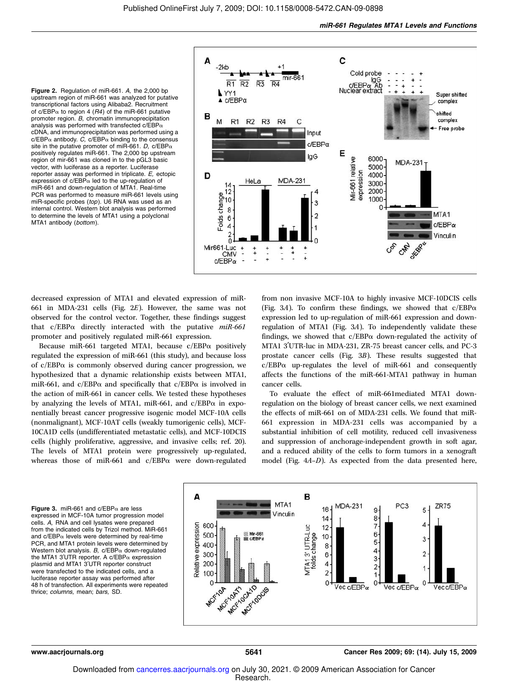Figure 2. Regulation of miR-661. A, the 2,000 bp upstream region of miR-661 was analyzed for putative transcriptional factors using Alibaba2. Recruitment of c/EBP $\alpha$  to region 4 (R4) of the miR-661 putative promoter region. B, chromatin immunoprecipitation analysis was performed with transfected  $c/EBP\alpha$ cDNA, and immunoprecipitation was performed using a  $c/EBP\alpha$  antibody. C,  $c/EBP\alpha$  binding to the consensus site in the putative promoter of miR-661. D, c/EBP $\alpha$ positively regulates miR-661. The 2,000 bp upstream region of mir-661 was cloned in to the pGL3 basic vector, with luciferase as a reporter. Luciferase reporter assay was performed in triplicate. E, ectopic expression of  $c/EBP\alpha$  led to the up-regulation of miR-661 and down-regulation of MTA1. Real-time PCR was performed to measure miR-661 levels using miR-specific probes (top). U6 RNA was used as an internal control. Western blot analysis was performed to determine the levels of MTA1 using a polyclonal MTA1 antibody (bottom).



decreased expression of MTA1 and elevated expression of miR-661 in MDA-231 cells (Fig. 2E). However, the same was not observed for the control vector. Together, these findings suggest that  $c/EBP\alpha$  directly interacted with the putative  $miR-661$ promoter and positively regulated miR-661 expression.

Because miR-661 targeted MTA1, because  $c/EBP\alpha$  positively regulated the expression of miR-661 (this study), and because loss of  $c/EBP\alpha$  is commonly observed during cancer progression, we hypothesized that a dynamic relationship exists between MTA1, miR-661, and c/EBP $\alpha$  and specifically that c/EBP $\alpha$  is involved in the action of miR-661 in cancer cells. We tested these hypotheses by analyzing the levels of MTA1, miR-661, and  $c/EBP\alpha$  in exponentially breast cancer progressive isogenic model MCF-10A cells (nonmalignant), MCF-10AT cells (weakly tumorigenic cells), MCF-10CA1D cells (undifferentiated metastatic cells), and MCF-10DCIS cells (highly proliferative, aggressive, and invasive cells; ref. 20). The levels of MTA1 protein were progressively up-regulated, whereas those of miR-661 and c/EBPa were down-regulated

from non invasive MCF-10A to highly invasive MCF-10DCIS cells (Fig. 3A). To confirm these findings, we showed that  $c/EBP\alpha$ expression led to up-regulation of miR-661 expression and downregulation of MTA1 (Fig. 3A). To independently validate these findings, we showed that  $c/EBP\alpha$  down-regulated the activity of MTA1 3'UTR-luc in MDA-231, ZR-75 breast cancer cells, and PC-3 prostate cancer cells (Fig. 3B). These results suggested that  $c/EBP\alpha$  up-regulates the level of miR-661 and consequently affects the functions of the miR-661-MTA1 pathway in human cancer cells.

To evaluate the effect of miR-661mediated MTA1 downregulation on the biology of breast cancer cells, we next examined the effects of miR-661 on of MDA-231 cells. We found that miR-661 expression in MDA-231 cells was accompanied by a substantial inhibition of cell motility, reduced cell invasiveness and suppression of anchorage-independent growth in soft agar, and a reduced ability of the cells to form tumors in a xenograft model (Fig. 4A–D). As expected from the data presented here,

Figure 3. miR-661 and  $c/EBP_{\alpha}$  are less expressed in MCF-10A tumor progression model cells. A, RNA and cell lysates were prepared from the indicated cells by Trizol method. MiR-661 and  $c/EBP\alpha$  levels were determined by real-time PCR, and MTA1 protein levels were determined by Western blot analysis. B,  $c/EBP\alpha$  down-regulated the MTA1 3'UTR reporter. A c/EBP $\alpha$  expression plasmid and MTA1 3'UTR reporter construct were transfected to the indicated cells, and a luciferase reporter assay was performed after 48 h of transfection. All experiments were repeated thrice; columns, mean; bars, SD.

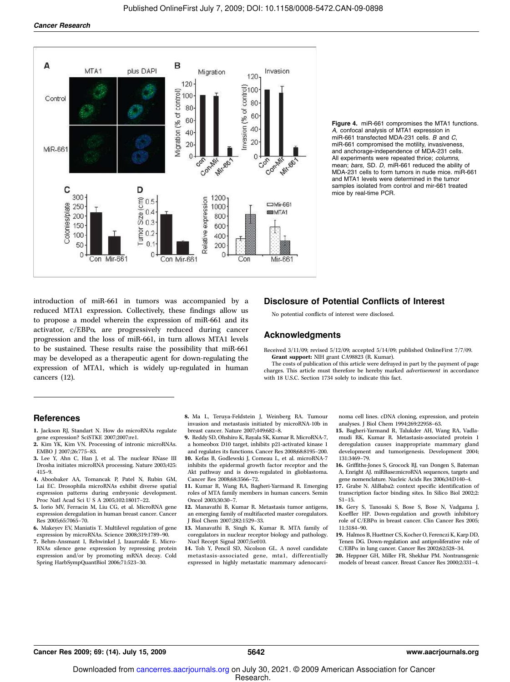

Figure 4. miR-661 compromises the MTA1 functions. A, confocal analysis of MTA1 expression in miR-661 transfected MDA-231 cells. B and C, miR-661 compromised the motility, invasiveness, and anchorage-independence of MDA-231 cells. All experiments were repeated thrice; columns, mean; bars, SD. D, miR-661 reduced the ability of MDA-231 cells to form tumors in nude mice. miR-661 and MTA1 levels were determined in the tumor samples isolated from control and mir-661 treated mice by real-time PCR.

introduction of miR-661 in tumors was accompanied by a reduced MTA1 expression. Collectively, these findings allow us to propose a model wherein the expression of miR-661 and its activator, c/EBPa, are progressively reduced during cancer progression and the loss of miR-661, in turn allows MTA1 levels to be sustained. These results raise the possibility that miR-661 may be developed as a therapeutic agent for down-regulating the expression of MTA1, which is widely up-regulated in human cancers (12).

#### Disclosure of Potential Conflicts of Interest

No potential conflicts of interest were disclosed.

#### Acknowledgments

Received 3/11/09; revised 5/12/09; accepted 5/14/09; published OnlineFirst 7/7/09. Grant support: NIH grant CA98823 (R. Kumar).

The costs of publication of this article were defrayed in part by the payment of page charges. This article must therefore be hereby marked advertisement in accordance with 18 U.S.C. Section 1734 solely to indicate this fact.

#### **References**

- 1. Jackson RJ, Standart N. How do microRNAs regulate gene expression? SciSTKE 2007;2007:re1.
- 2. Kim YK, Kim VN. Processing of intronic microRNAs. EMBO J 2007;26:775–83.
- 3. Lee Y, Ahn C, Han J, et al. The nuclear RNase III Drosha initiates microRNA processing. Nature 2003;425: 415–9.
- 4. Aboobaker AA, Tomancak P, Patel N, Rubin GM, Lai EC. Drosophila microRNAs exhibit diverse spatial expression patterns during embryonic development. Proc Natl Acad Sci U S A 2005;102:18017–22.
- 5. Iorio MV, Ferracin M, Liu CG, et al. MicroRNA gene expression deregulation in human breast cancer. Cancer Res 2005;65:7065–70.
- 6. Makeyev EV, Maniatis T. Multilevel regulation of gene expression by microRNAs. Science 2008;319:1789–90.
- 7. Behm-Ansmant I, Rehwinkel J, Izaurralde E. Micro-RNAs silence gene expression by repressing protein expression and/or by promoting mRNA decay. Cold Spring HarbSympQuantBiol 2006;71:523–30.
- 8. Ma L, Teruya-Feldstein J, Weinberg RA. Tumour invasion and metastasis initiated by microRNA-10b in breast cancer. Nature 2007;449:682–8.
- 9. Reddy SD, Ohshiro K, Rayala SK, Kumar R. MicroRNA-7, a homeobox D10 target, inhibits p21-activated kinase 1 and regulates its functions. Cancer Res 2008;68:8195–200.
- 10. Kefas B, Godlewski J, Comeau L, et al. microRNA-7 inhibits the epidermal growth factor receptor and the Akt pathway and is down-regulated in glioblastoma. Cancer Res 2008;68:3566–72.
- 11. Kumar R, Wang RA, Bagheri-Yarmand R. Emerging roles of MTA family members in human cancers. Semin Oncol 2003;30:30–7.
- 12. Manavathi B, Kumar R. Metastasis tumor antigens, an emerging family of multifaceted master coregulators. J Biol Chem 2007;282:1529–33.
- 13. Manavathi B, Singh K, Kumar R. MTA family of coregulators in nuclear receptor biology and pathology. Nucl Recept Signal 2007;5:e010.
- 14. Toh Y, Pencil SD, Nicolson GL. A novel candidate metastasis-associated gene, mta1, differentially expressed in highly metastatic mammary adenocarci-

noma cell lines. cDNA cloning, expression, and protein analyses. J Biol Chem 1994;269:22958–63.

- 15. Bagheri-Yarmand R, Talukder AH, Wang RA, Vadlamudi RK, Kumar R. Metastasis-associated protein 1 deregulation causes inappropriate mammary gland development and tumorigenesis. Development 2004; 131:3469–79.
- 16. Griffiths-Jones S, Grocock RJ, van Dongen S, Bateman A, Enright AJ. miRBase:microRNA sequences, targets and gene nomenclature. Nucleic Acids Res 2006;34:D140–4.
- 17. Grabe N. AliBaba2: context specific identification of transcription factor binding sites. In Silico Biol 2002;2: S1–15.
- 18. Gery S, Tanosaki S, Bose S, Bose N, Vadgama J, Koeffler HP. Down-regulation and growth inhibitory role of  $C/EBP\alpha$  in breast cancer. Clin Cancer Res 2005; 11:3184–90.
- 19. Halmos B, Huettner CS, Kocher O, Ferenczi K, Karp DD, Tenen DG. Down-regulation and antiproliferative role of  $C/EBP\alpha$  in lung cancer. Cancer Res 2002;62:528-34.
- 20. Heppner GH, Miller FR, Shekhar PM. Nontransgenic models of breast cancer. Breast Cancer Res 2000;2:331–4.